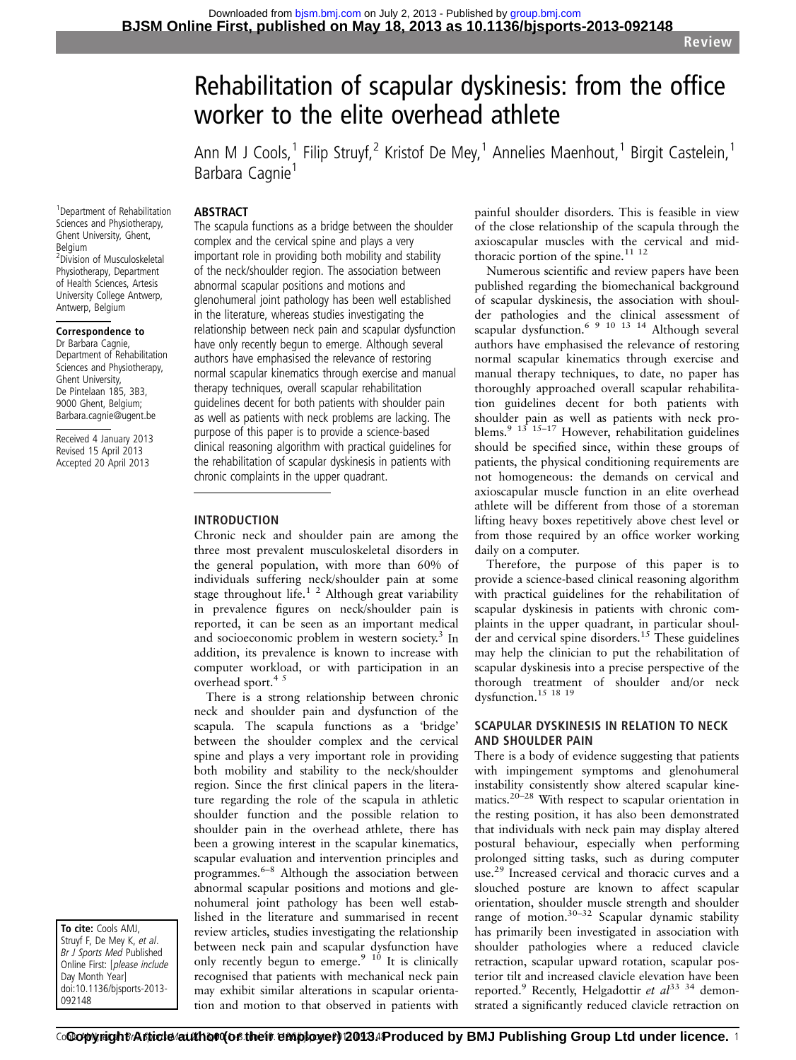Review

# Rehabilitation of scapular dyskinesis: from the office worker to the elite overhead athlete

Ann M J Cools,<sup>1</sup> Filip Struyf,<sup>2</sup> Kristof De Mey,<sup>1</sup> Annelies Maenhout,<sup>1</sup> Birgit Castelein,<sup>1</sup> Barbara Cagnie<sup>1</sup>

### ABSTRACT

The scapula functions as a bridge between the shoulder complex and the cervical spine and plays a very important role in providing both mobility and stability of the neck/shoulder region. The association between abnormal scapular positions and motions and glenohumeral joint pathology has been well established in the literature, whereas studies investigating the relationship between neck pain and scapular dysfunction have only recently begun to emerge. Although several authors have emphasised the relevance of restoring normal scapular kinematics through exercise and manual therapy techniques, overall scapular rehabilitation guidelines decent for both patients with shoulder pain as well as patients with neck problems are lacking. The purpose of this paper is to provide a science-based clinical reasoning algorithm with practical guidelines for the rehabilitation of scapular dyskinesis in patients with chronic complaints in the upper quadrant.

#### INTRODUCTION

Chronic neck and shoulder pain are among the three most prevalent musculoskeletal disorders in the general population, with more than 60% of individuals suffering neck/shoulder pain at some stage throughout life.<sup>1</sup> <sup>2</sup> Although great variability in prevalence figures on neck/shoulder pain is reported, it can be seen as an important medical and socioeconomic problem in western society.<sup>3</sup> In addition, its prevalence is known to increase with computer workload, or with participation in an overhead sport.<sup>45</sup>

There is a strong relationship between chronic neck and shoulder pain and dysfunction of the scapula. The scapula functions as a 'bridge' between the shoulder complex and the cervical spine and plays a very important role in providing both mobility and stability to the neck/shoulder region. Since the first clinical papers in the literature regarding the role of the scapula in athletic shoulder function and the possible relation to shoulder pain in the overhead athlete, there has been a growing interest in the scapular kinematics, scapular evaluation and intervention principles and programmes.6–<sup>8</sup> Although the association between abnormal scapular positions and motions and glenohumeral joint pathology has been well established in the literature and summarised in recent review articles, studies investigating the relationship between neck pain and scapular dysfunction have only recently begun to emerge.<sup>9 10</sup> It is clinically recognised that patients with mechanical neck pain may exhibit similar alterations in scapular orientation and motion to that observed in patients with

painful shoulder disorders. This is feasible in view of the close relationship of the scapula through the axioscapular muscles with the cervical and midthoracic portion of the spine. $11$   $12$ 

Numerous scientific and review papers have been published regarding the biomechanical background of scapular dyskinesis, the association with shoulder pathologies and the clinical assessment of scapular dysfunction.<sup>6 9 10 13 14</sup> Although several authors have emphasised the relevance of restoring normal scapular kinematics through exercise and manual therapy techniques, to date, no paper has thoroughly approached overall scapular rehabilitation guidelines decent for both patients with shoulder pain as well as patients with neck problems.<sup>9</sup> <sup>13</sup> <sup>15-17</sup> However, rehabilitation guidelines should be specified since, within these groups of patients, the physical conditioning requirements are not homogeneous: the demands on cervical and axioscapular muscle function in an elite overhead athlete will be different from those of a storeman lifting heavy boxes repetitively above chest level or from those required by an office worker working daily on a computer.

Therefore, the purpose of this paper is to provide a science-based clinical reasoning algorithm with practical guidelines for the rehabilitation of scapular dyskinesis in patients with chronic complaints in the upper quadrant, in particular shoulder and cervical spine disorders.<sup>15</sup> These guidelines may help the clinician to put the rehabilitation of scapular dyskinesis into a precise perspective of the thorough treatment of shoulder and/or neck dysfunction.<sup>15</sup> <sup>18</sup> <sup>19</sup>

#### SCAPULAR DYSKINESIS IN RELATION TO NECK AND SHOULDER PAIN

There is a body of evidence suggesting that patients with impingement symptoms and glenohumeral instability consistently show altered scapular kinematics.<sup>20–28</sup> With respect to scapular orientation in the resting position, it has also been demonstrated that individuals with neck pain may display altered postural behaviour, especially when performing prolonged sitting tasks, such as during computer use.<sup>29</sup> Increased cervical and thoracic curves and a slouched posture are known to affect scapular orientation, shoulder muscle strength and shoulder range of motion.30–<sup>32</sup> Scapular dynamic stability has primarily been investigated in association with shoulder pathologies where a reduced clavicle retraction, scapular upward rotation, scapular posterior tilt and increased clavicle elevation have been reported.<sup>9</sup> Recently, Helgadottir et  $al^{33}$  <sup>34</sup> demonstrated a significantly reduced clavicle retraction on

1 Department of Rehabilitation Sciences and Physiotherapy, Ghent University, Ghent, Belgium 2 Division of Musculoskeletal Physiotherapy, Department of Health Sciences, Artesis University College Antwerp, Antwerp, Belgium

# Correspondence to

Dr Barbara Cagnie Department of Rehabilitation Sciences and Physiotherapy, Ghent University, De Pintelaan 185, 3B3, 9000 Ghent, Belgium; Barbara.cagnie@ugent.be

Received 4 January 2013 Revised 15 April 2013 Accepted 20 April 2013

To cite: Cools AMJ, Struyf F, De Mey K, et al. Br J Sports Med Published Online First: [please include Day Month Year] doi:10.1136/bjsports-2013- 092148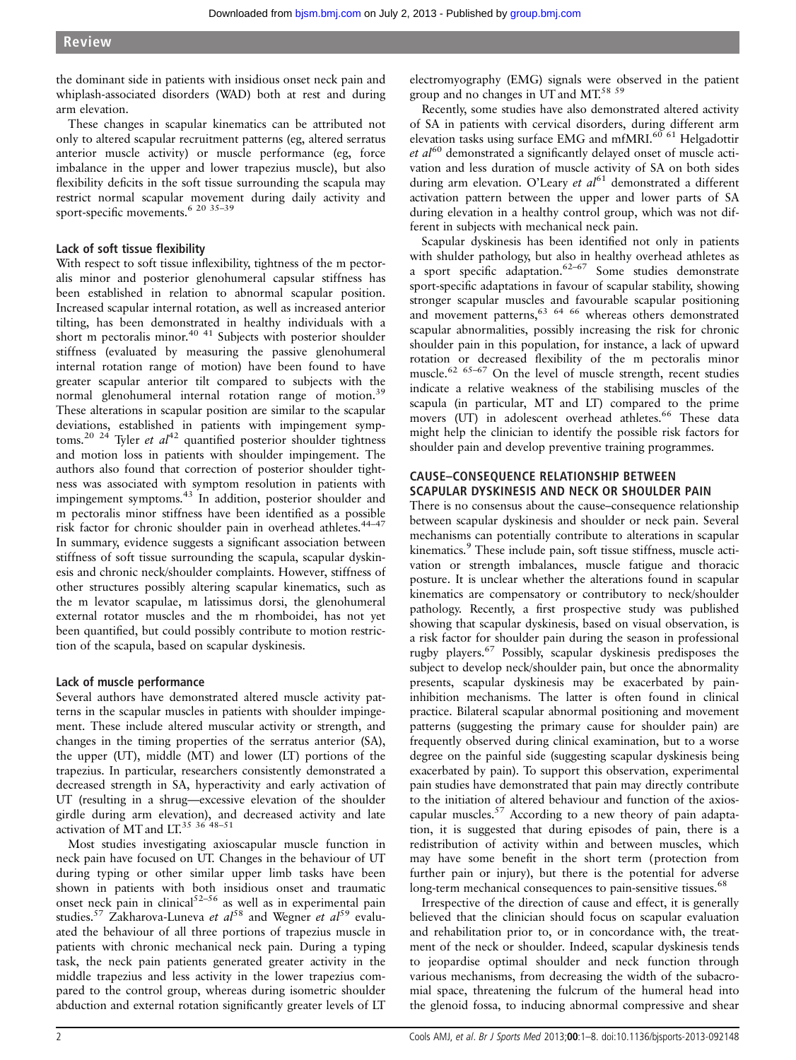the dominant side in patients with insidious onset neck pain and whiplash-associated disorders (WAD) both at rest and during arm elevation.

These changes in scapular kinematics can be attributed not only to altered scapular recruitment patterns (eg, altered serratus anterior muscle activity) or muscle performance (eg, force imbalance in the upper and lower trapezius muscle), but also flexibility deficits in the soft tissue surrounding the scapula may restrict normal scapular movement during daily activity and sport-specific movements.<sup>6</sup> 20 35-39

# Lack of soft tissue flexibility

With respect to soft tissue inflexibility, tightness of the m pectoralis minor and posterior glenohumeral capsular stiffness has been established in relation to abnormal scapular position. Increased scapular internal rotation, as well as increased anterior tilting, has been demonstrated in healthy individuals with a short m pectoralis minor.<sup>40 41</sup> Subjects with posterior shoulder stiffness (evaluated by measuring the passive glenohumeral internal rotation range of motion) have been found to have greater scapular anterior tilt compared to subjects with the normal glenohumeral internal rotation range of motion.<sup>3</sup> These alterations in scapular position are similar to the scapular deviations, established in patients with impingement symptoms.<sup>20 24</sup> Tyler et  $al^{42}$  quantified posterior shoulder tightness and motion loss in patients with shoulder impingement. The authors also found that correction of posterior shoulder tightness was associated with symptom resolution in patients with impingement symptoms.<sup>43</sup> In addition, posterior shoulder and m pectoralis minor stiffness have been identified as a possible risk factor for chronic shoulder pain in overhead athletes.<sup>44-47</sup>

In summary, evidence suggests a significant association between stiffness of soft tissue surrounding the scapula, scapular dyskinesis and chronic neck/shoulder complaints. However, stiffness of other structures possibly altering scapular kinematics, such as the m levator scapulae, m latissimus dorsi, the glenohumeral external rotator muscles and the m rhomboidei, has not yet been quantified, but could possibly contribute to motion restriction of the scapula, based on scapular dyskinesis.

# Lack of muscle performance

Several authors have demonstrated altered muscle activity patterns in the scapular muscles in patients with shoulder impingement. These include altered muscular activity or strength, and changes in the timing properties of the serratus anterior (SA), the upper (UT), middle (MT) and lower (LT) portions of the trapezius. In particular, researchers consistently demonstrated a decreased strength in SA, hyperactivity and early activation of UT (resulting in a shrug—excessive elevation of the shoulder girdle during arm elevation), and decreased activity and late activation of MT and LT.35 36 48–<sup>51</sup>

Most studies investigating axioscapular muscle function in neck pain have focused on UT. Changes in the behaviour of UT during typing or other similar upper limb tasks have been shown in patients with both insidious onset and traumatic onset neck pain in clinical $52-56$  as well as in experimental pain studies.<sup>57</sup> Zakharova-Luneva et  $al^{58}$  and Wegner et  $al^{59}$  evaluated the behaviour of all three portions of trapezius muscle in patients with chronic mechanical neck pain. During a typing task, the neck pain patients generated greater activity in the middle trapezius and less activity in the lower trapezius compared to the control group, whereas during isometric shoulder abduction and external rotation significantly greater levels of LT

electromyography (EMG) signals were observed in the patient group and no changes in UT and MT.58 59

Recently, some studies have also demonstrated altered activity of SA in patients with cervical disorders, during different arm elevation tasks using surface EMG and mfMRI. $60\,61$  Helgadottir et  $al^{60}$  demonstrated a significantly delayed onset of muscle activation and less duration of muscle activity of SA on both sides during arm elevation. O'Leary et  $al^{61}$  demonstrated a different activation pattern between the upper and lower parts of SA during elevation in a healthy control group, which was not different in subjects with mechanical neck pain.

Scapular dyskinesis has been identified not only in patients with shulder pathology, but also in healthy overhead athletes as a sport specific adaptation.<sup>62–67</sup> Some studies demonstrate sport-specific adaptations in favour of scapular stability, showing stronger scapular muscles and favourable scapular positioning and movement patterns,<sup>63 64 66</sup> whereas others demonstrated scapular abnormalities, possibly increasing the risk for chronic shoulder pain in this population, for instance, a lack of upward rotation or decreased flexibility of the m pectoralis minor muscle.62 65–<sup>67</sup> On the level of muscle strength, recent studies indicate a relative weakness of the stabilising muscles of the scapula (in particular, MT and LT) compared to the prime movers (UT) in adolescent overhead athletes.<sup>66</sup> These data might help the clinician to identify the possible risk factors for shoulder pain and develop preventive training programmes.

# CAUSE–CONSEQUENCE RELATIONSHIP BETWEEN SCAPULAR DYSKINESIS AND NECK OR SHOULDER PAIN

There is no consensus about the cause–consequence relationship between scapular dyskinesis and shoulder or neck pain. Several mechanisms can potentially contribute to alterations in scapular kinematics.<sup>9</sup> These include pain, soft tissue stiffness, muscle activation or strength imbalances, muscle fatigue and thoracic posture. It is unclear whether the alterations found in scapular kinematics are compensatory or contributory to neck/shoulder pathology. Recently, a first prospective study was published showing that scapular dyskinesis, based on visual observation, is a risk factor for shoulder pain during the season in professional rugby players.<sup>67</sup> Possibly, scapular dyskinesis predisposes the subject to develop neck/shoulder pain, but once the abnormality presents, scapular dyskinesis may be exacerbated by paininhibition mechanisms. The latter is often found in clinical practice. Bilateral scapular abnormal positioning and movement patterns (suggesting the primary cause for shoulder pain) are frequently observed during clinical examination, but to a worse degree on the painful side (suggesting scapular dyskinesis being exacerbated by pain). To support this observation, experimental pain studies have demonstrated that pain may directly contribute to the initiation of altered behaviour and function of the axioscapular muscles.<sup>57</sup> According to a new theory of pain adaptation, it is suggested that during episodes of pain, there is a redistribution of activity within and between muscles, which may have some benefit in the short term (protection from further pain or injury), but there is the potential for adverse long-term mechanical consequences to pain-sensitive tissues.<sup>68</sup>

Irrespective of the direction of cause and effect, it is generally believed that the clinician should focus on scapular evaluation and rehabilitation prior to, or in concordance with, the treatment of the neck or shoulder. Indeed, scapular dyskinesis tends to jeopardise optimal shoulder and neck function through various mechanisms, from decreasing the width of the subacromial space, threatening the fulcrum of the humeral head into the glenoid fossa, to inducing abnormal compressive and shear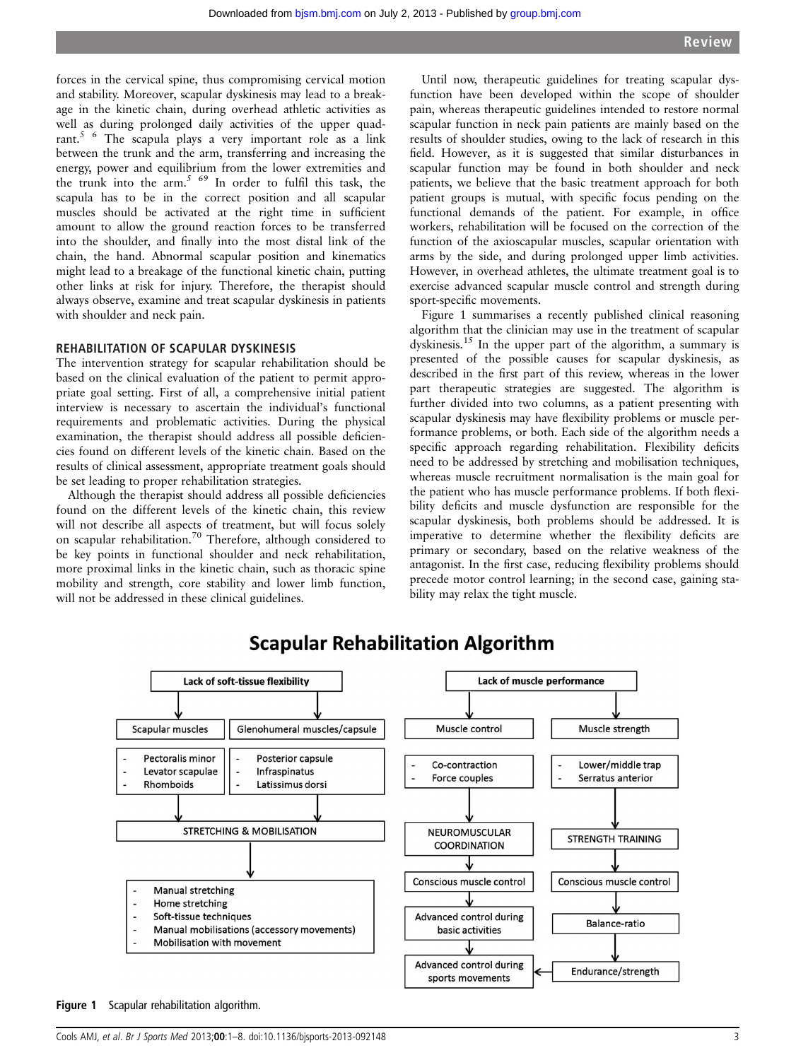forces in the cervical spine, thus compromising cervical motion and stability. Moreover, scapular dyskinesis may lead to a breakage in the kinetic chain, during overhead athletic activities as well as during prolonged daily activities of the upper quadrant.5 6 The scapula plays a very important role as a link between the trunk and the arm, transferring and increasing the energy, power and equilibrium from the lower extremities and the trunk into the arm.<sup>5  $69$ </sup> In order to fulfil this task, the scapula has to be in the correct position and all scapular muscles should be activated at the right time in sufficient amount to allow the ground reaction forces to be transferred into the shoulder, and finally into the most distal link of the chain, the hand. Abnormal scapular position and kinematics might lead to a breakage of the functional kinetic chain, putting other links at risk for injury. Therefore, the therapist should always observe, examine and treat scapular dyskinesis in patients with shoulder and neck pain.

#### REHABILITATION OF SCAPULAR DYSKINESIS

The intervention strategy for scapular rehabilitation should be based on the clinical evaluation of the patient to permit appropriate goal setting. First of all, a comprehensive initial patient interview is necessary to ascertain the individual's functional requirements and problematic activities. During the physical examination, the therapist should address all possible deficiencies found on different levels of the kinetic chain. Based on the results of clinical assessment, appropriate treatment goals should be set leading to proper rehabilitation strategies.

Although the therapist should address all possible deficiencies found on the different levels of the kinetic chain, this review will not describe all aspects of treatment, but will focus solely on scapular rehabilitation.70 Therefore, although considered to be key points in functional shoulder and neck rehabilitation, more proximal links in the kinetic chain, such as thoracic spine mobility and strength, core stability and lower limb function, will not be addressed in these clinical guidelines.

Until now, therapeutic guidelines for treating scapular dysfunction have been developed within the scope of shoulder pain, whereas therapeutic guidelines intended to restore normal scapular function in neck pain patients are mainly based on the results of shoulder studies, owing to the lack of research in this field. However, as it is suggested that similar disturbances in scapular function may be found in both shoulder and neck patients, we believe that the basic treatment approach for both patient groups is mutual, with specific focus pending on the functional demands of the patient. For example, in office workers, rehabilitation will be focused on the correction of the function of the axioscapular muscles, scapular orientation with arms by the side, and during prolonged upper limb activities. However, in overhead athletes, the ultimate treatment goal is to exercise advanced scapular muscle control and strength during sport-specific movements.

Figure 1 summarises a recently published clinical reasoning algorithm that the clinician may use in the treatment of scapular dyskinesis.<sup>15</sup> In the upper part of the algorithm, a summary is presented of the possible causes for scapular dyskinesis, as described in the first part of this review, whereas in the lower part therapeutic strategies are suggested. The algorithm is further divided into two columns, as a patient presenting with scapular dyskinesis may have flexibility problems or muscle performance problems, or both. Each side of the algorithm needs a specific approach regarding rehabilitation. Flexibility deficits need to be addressed by stretching and mobilisation techniques, whereas muscle recruitment normalisation is the main goal for the patient who has muscle performance problems. If both flexibility deficits and muscle dysfunction are responsible for the scapular dyskinesis, both problems should be addressed. It is imperative to determine whether the flexibility deficits are primary or secondary, based on the relative weakness of the antagonist. In the first case, reducing flexibility problems should precede motor control learning; in the second case, gaining stability may relax the tight muscle.



# **Scapular Rehabilitation Algorithm**

Figure 1 Scapular rehabilitation algorithm.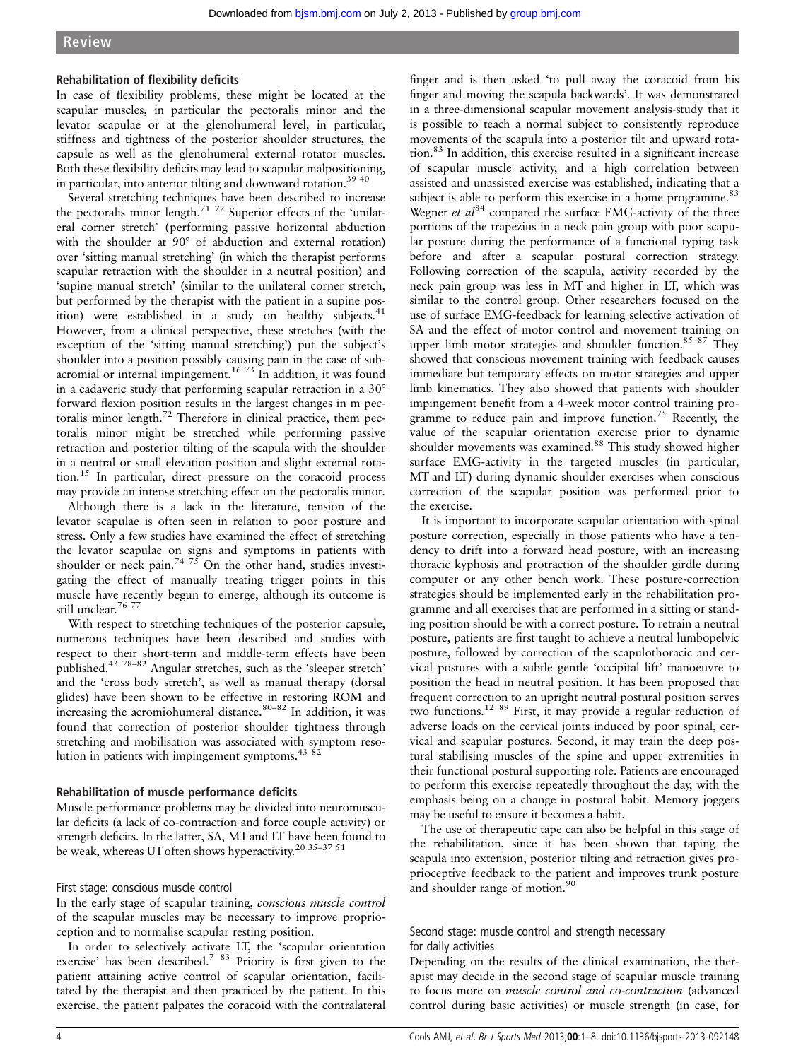#### Rehabilitation of flexibility deficits

In case of flexibility problems, these might be located at the scapular muscles, in particular the pectoralis minor and the levator scapulae or at the glenohumeral level, in particular, stiffness and tightness of the posterior shoulder structures, the capsule as well as the glenohumeral external rotator muscles. Both these flexibility deficits may lead to scapular malpositioning, in particular, into anterior tilting and downward rotation.<sup>39</sup>  $40$ 

Several stretching techniques have been described to increase Several stretching techniques have been described to increment<br>the pectoralis minor length.<sup>71 72</sup> Superior effects of the 'unilateral corner stretch' (performing passive horizontal abduction with the shoulder at 90° of abduction and external rotation) over 'sitting manual stretching' (in which the therapist performs scapular retraction with the shoulder in a neutral position) and 'supine manual stretch' (similar to the unilateral corner stretch, but performed by the therapist with the patient in a supine position) were established in a study on healthy subjects.<sup>41</sup> However, from a clinical perspective, these stretches (with the exception of the 'sitting manual stretching') put the subject's shoulder into a position possibly causing pain in the case of subacromial or internal impingement.<sup>16 73</sup> In addition, it was found in a cadaveric study that performing scapular retraction in a 30° forward flexion position results in the largest changes in m pectoralis minor length.<sup>72</sup> Therefore in clinical practice, them pectoralis minor might be stretched while performing passive retraction and posterior tilting of the scapula with the shoulder in a neutral or small elevation position and slight external rotation.15 In particular, direct pressure on the coracoid process may provide an intense stretching effect on the pectoralis minor.

Although there is a lack in the literature, tension of the levator scapulae is often seen in relation to poor posture and stress. Only a few studies have examined the effect of stretching the levator scapulae on signs and symptoms in patients with shoulder or neck pain.<sup>74 75</sup> On the other hand, studies investigating the effect of manually treating trigger points in this muscle have recently begun to emerge, although its outcome is still unclear.<sup>76 77</sup>

With respect to stretching techniques of the posterior capsule, numerous techniques have been described and studies with respect to their short-term and middle-term effects have been published.43 78–<sup>82</sup> Angular stretches, such as the 'sleeper stretch' and the 'cross body stretch', as well as manual therapy (dorsal glides) have been shown to be effective in restoring ROM and increasing the acromiohumeral distance.80–<sup>82</sup> In addition, it was found that correction of posterior shoulder tightness through stretching and mobilisation was associated with symptom resolution in patients with impingement symptoms.<sup>43 82</sup>

#### Rehabilitation of muscle performance deficits

Muscle performance problems may be divided into neuromuscular deficits (a lack of co-contraction and force couple activity) or strength deficits. In the latter, SA, MT and LT have been found to be weak, whereas UT often shows hyperactivity.<sup>20</sup> <sup>35-37 51</sup>

#### First stage: conscious muscle control

In the early stage of scapular training, conscious muscle control of the scapular muscles may be necessary to improve proprioception and to normalise scapular resting position.

In order to selectively activate LT, the 'scapular orientation exercise' has been described.<sup>7 83</sup> Priority is first given to the patient attaining active control of scapular orientation, facilitated by the therapist and then practiced by the patient. In this exercise, the patient palpates the coracoid with the contralateral

finger and is then asked 'to pull away the coracoid from his finger and moving the scapula backwards'. It was demonstrated in a three-dimensional scapular movement analysis-study that it is possible to teach a normal subject to consistently reproduce movements of the scapula into a posterior tilt and upward rotation.83 In addition, this exercise resulted in a significant increase of scapular muscle activity, and a high correlation between assisted and unassisted exercise was established, indicating that a subject is able to perform this exercise in a home programme.<sup>83</sup> Wegner et  $al^{84}$  compared the surface EMG-activity of the three portions of the trapezius in a neck pain group with poor scapular posture during the performance of a functional typing task before and after a scapular postural correction strategy. Following correction of the scapula, activity recorded by the neck pain group was less in MT and higher in LT, which was similar to the control group. Other researchers focused on the use of surface EMG-feedback for learning selective activation of SA and the effect of motor control and movement training on upper limb motor strategies and shoulder function.<sup>85-87</sup> They showed that conscious movement training with feedback causes immediate but temporary effects on motor strategies and upper limb kinematics. They also showed that patients with shoulder impingement benefit from a 4-week motor control training programme to reduce pain and improve function.<sup>75</sup> Recently, the value of the scapular orientation exercise prior to dynamic shoulder movements was examined.<sup>88</sup> This study showed higher surface EMG-activity in the targeted muscles (in particular, MT and LT) during dynamic shoulder exercises when conscious correction of the scapular position was performed prior to the exercise.

It is important to incorporate scapular orientation with spinal posture correction, especially in those patients who have a tendency to drift into a forward head posture, with an increasing thoracic kyphosis and protraction of the shoulder girdle during computer or any other bench work. These posture-correction strategies should be implemented early in the rehabilitation programme and all exercises that are performed in a sitting or standing position should be with a correct posture. To retrain a neutral posture, patients are first taught to achieve a neutral lumbopelvic posture, followed by correction of the scapulothoracic and cervical postures with a subtle gentle 'occipital lift' manoeuvre to position the head in neutral position. It has been proposed that frequent correction to an upright neutral postural position serves two functions.12 89 First, it may provide a regular reduction of adverse loads on the cervical joints induced by poor spinal, cervical and scapular postures. Second, it may train the deep postural stabilising muscles of the spine and upper extremities in their functional postural supporting role. Patients are encouraged to perform this exercise repeatedly throughout the day, with the emphasis being on a change in postural habit. Memory joggers may be useful to ensure it becomes a habit.

The use of therapeutic tape can also be helpful in this stage of the rehabilitation, since it has been shown that taping the scapula into extension, posterior tilting and retraction gives proprioceptive feedback to the patient and improves trunk posture and shoulder range of motion.<sup>90</sup>

### Second stage: muscle control and strength necessary for daily activities

Depending on the results of the clinical examination, the therapist may decide in the second stage of scapular muscle training to focus more on muscle control and co-contraction (advanced control during basic activities) or muscle strength (in case, for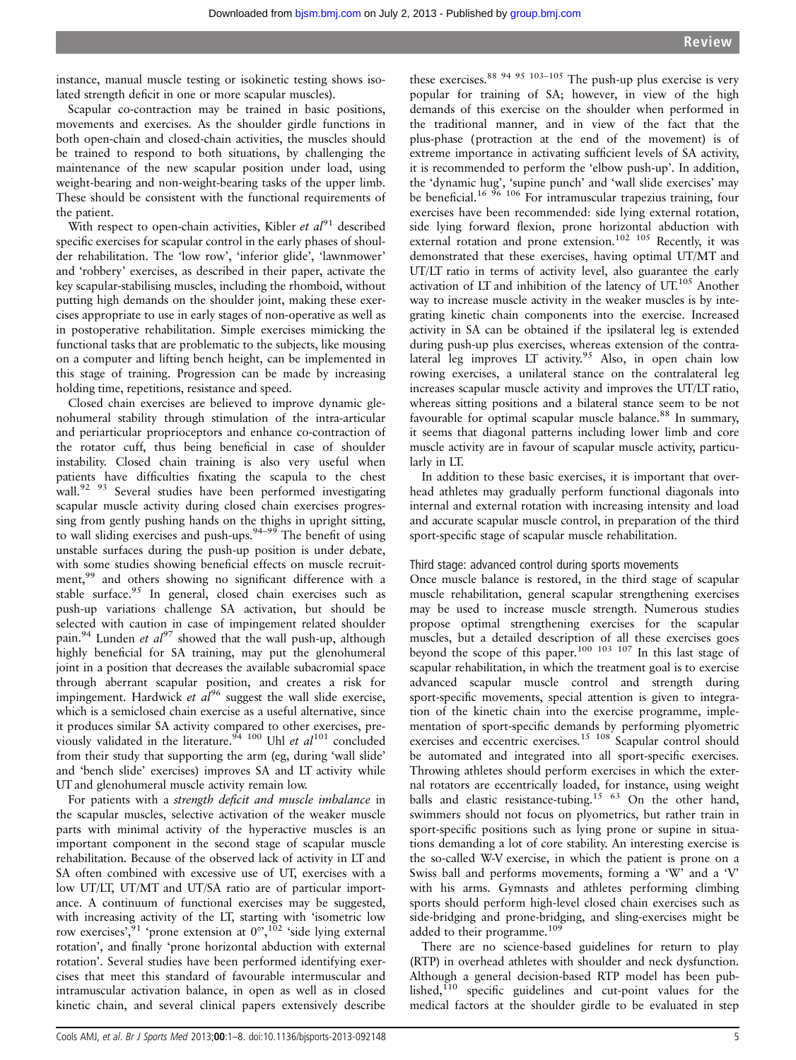instance, manual muscle testing or isokinetic testing shows isolated strength deficit in one or more scapular muscles).

Scapular co-contraction may be trained in basic positions, movements and exercises. As the shoulder girdle functions in both open-chain and closed-chain activities, the muscles should be trained to respond to both situations, by challenging the maintenance of the new scapular position under load, using weight-bearing and non-weight-bearing tasks of the upper limb. These should be consistent with the functional requirements of the patient.

With respect to open-chain activities, Kibler et  $al<sup>91</sup>$  described specific exercises for scapular control in the early phases of shoulder rehabilitation. The 'low row', 'inferior glide', 'lawnmower' and 'robbery' exercises, as described in their paper, activate the key scapular-stabilising muscles, including the rhomboid, without putting high demands on the shoulder joint, making these exercises appropriate to use in early stages of non-operative as well as in postoperative rehabilitation. Simple exercises mimicking the functional tasks that are problematic to the subjects, like mousing on a computer and lifting bench height, can be implemented in this stage of training. Progression can be made by increasing holding time, repetitions, resistance and speed.

Closed chain exercises are believed to improve dynamic glenohumeral stability through stimulation of the intra-articular and periarticular proprioceptors and enhance co-contraction of the rotator cuff, thus being beneficial in case of shoulder instability. Closed chain training is also very useful when patients have difficulties fixating the scapula to the chest wall.<sup>92</sup> <sup>93</sup> Several studies have been performed investigating scapular muscle activity during closed chain exercises progressing from gently pushing hands on the thighs in upright sitting, to wall sliding exercises and push-ups.<sup>94–99</sup> The benefit of using unstable surfaces during the push-up position is under debate, with some studies showing beneficial effects on muscle recruitment,<sup>99</sup> and others showing no significant difference with a stable surface.<sup>95</sup> In general, closed chain exercises such as push-up variations challenge SA activation, but should be selected with caution in case of impingement related shoulder pain.<sup>94</sup> Lunden et  $al^{97}$  showed that the wall push-up, although highly beneficial for SA training, may put the glenohumeral joint in a position that decreases the available subacromial space through aberrant scapular position, and creates a risk for impingement. Hardwick et  $al^{96}$  suggest the wall slide exercise, which is a semiclosed chain exercise as a useful alternative, since it produces similar SA activity compared to other exercises, previously validated in the literature.<sup>94</sup> <sup>100</sup> Uhl et al<sup>101</sup> concluded from their study that supporting the arm (eg, during 'wall slide' and 'bench slide' exercises) improves SA and LT activity while UT and glenohumeral muscle activity remain low.

For patients with a strength deficit and muscle imbalance in the scapular muscles, selective activation of the weaker muscle parts with minimal activity of the hyperactive muscles is an important component in the second stage of scapular muscle rehabilitation. Because of the observed lack of activity in LT and SA often combined with excessive use of UT, exercises with a low UT/LT, UT/MT and UT/SA ratio are of particular importance. A continuum of functional exercises may be suggested, with increasing activity of the LT, starting with 'isometric low row exercises',  $91$  'prone extension at  $0^{\circ}$ ,  $1^{102}$  'side lying external rotation', and finally 'prone horizontal abduction with external rotation'. Several studies have been performed identifying exercises that meet this standard of favourable intermuscular and intramuscular activation balance, in open as well as in closed kinetic chain, and several clinical papers extensively describe

these exercises.88 94 95 103–<sup>105</sup> The push-up plus exercise is very popular for training of SA; however, in view of the high demands of this exercise on the shoulder when performed in the traditional manner, and in view of the fact that the plus-phase (protraction at the end of the movement) is of extreme importance in activating sufficient levels of SA activity, it is recommended to perform the 'elbow push-up'. In addition, the 'dynamic hug', 'supine punch' and 'wall slide exercises' may be beneficial.<sup>16 96</sup> <sup>106</sup> For intramuscular trapezius training, four exercises have been recommended: side lying external rotation, side lying forward flexion, prone horizontal abduction with external rotation and prone extension.<sup>102 105</sup> Recently, it was demonstrated that these exercises, having optimal UT/MT and UT/LT ratio in terms of activity level, also guarantee the early activation of LT and inhibition of the latency of UT.<sup>105</sup> Another way to increase muscle activity in the weaker muscles is by integrating kinetic chain components into the exercise. Increased activity in SA can be obtained if the ipsilateral leg is extended during push-up plus exercises, whereas extension of the contralateral leg improves LT activity.<sup>95</sup> Also, in open chain low rowing exercises, a unilateral stance on the contralateral leg increases scapular muscle activity and improves the UT/LT ratio, whereas sitting positions and a bilateral stance seem to be not favourable for optimal scapular muscle balance.<sup>88</sup> In summary, it seems that diagonal patterns including lower limb and core muscle activity are in favour of scapular muscle activity, particularly in LT.

In addition to these basic exercises, it is important that overhead athletes may gradually perform functional diagonals into internal and external rotation with increasing intensity and load and accurate scapular muscle control, in preparation of the third sport-specific stage of scapular muscle rehabilitation.

# Third stage: advanced control during sports movements

Once muscle balance is restored, in the third stage of scapular muscle rehabilitation, general scapular strengthening exercises may be used to increase muscle strength. Numerous studies propose optimal strengthening exercises for the scapular muscles, but a detailed description of all these exercises goes beyond the scope of this paper.100 103 107 In this last stage of scapular rehabilitation, in which the treatment goal is to exercise advanced scapular muscle control and strength during sport-specific movements, special attention is given to integration of the kinetic chain into the exercise programme, implementation of sport-specific demands by performing plyometric exercises and eccentric exercises.<sup>15</sup> <sup>108</sup> Scapular control should be automated and integrated into all sport-specific exercises. Throwing athletes should perform exercises in which the external rotators are eccentrically loaded, for instance, using weight balls and elastic resistance-tubing.<sup>15 63</sup> On the other hand, swimmers should not focus on plyometrics, but rather train in sport-specific positions such as lying prone or supine in situations demanding a lot of core stability. An interesting exercise is the so-called W-V exercise, in which the patient is prone on a Swiss ball and performs movements, forming a 'W' and a 'V' with his arms. Gymnasts and athletes performing climbing sports should perform high-level closed chain exercises such as side-bridging and prone-bridging, and sling-exercises might be added to their programme.<sup>109</sup>

There are no science-based guidelines for return to play (RTP) in overhead athletes with shoulder and neck dysfunction. Although a general decision-based RTP model has been published, $^{110}$  specific guidelines and cut-point values for the medical factors at the shoulder girdle to be evaluated in step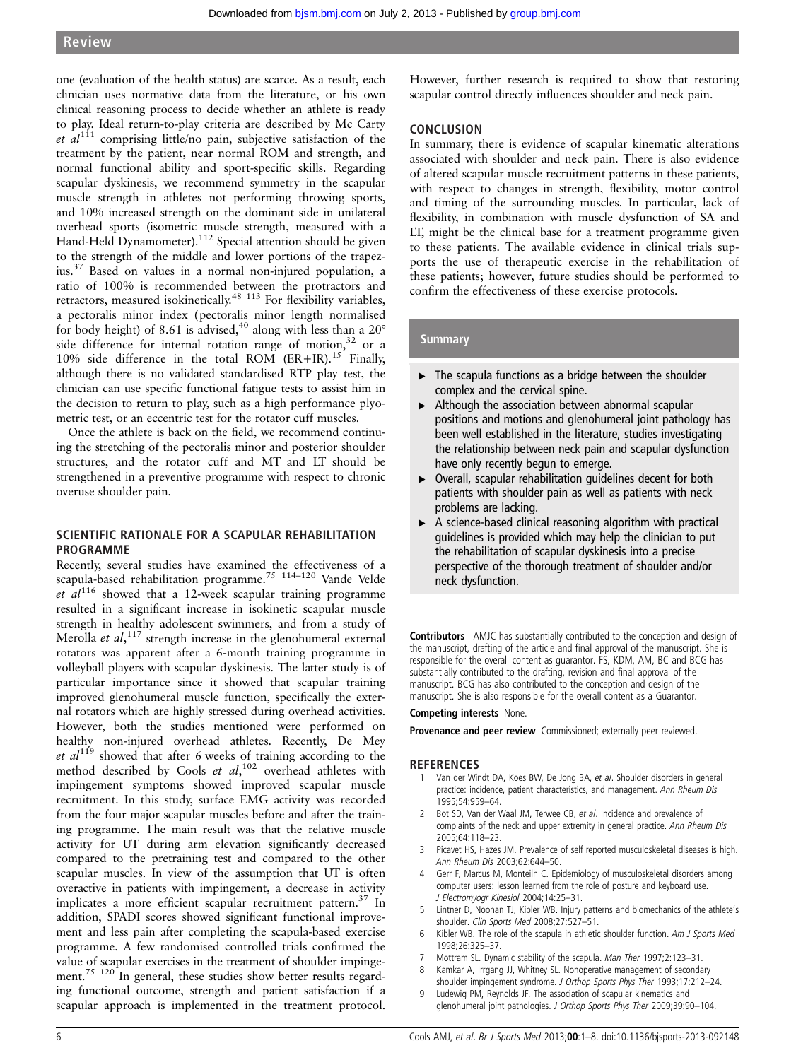one (evaluation of the health status) are scarce. As a result, each clinician uses normative data from the literature, or his own clinical reasoning process to decide whether an athlete is ready to play. Ideal return-to-play criteria are described by Mc Carty et  $al^{111}$  comprising little/no pain, subjective satisfaction of the treatment by the patient, near normal ROM and strength, and normal functional ability and sport-specific skills. Regarding scapular dyskinesis, we recommend symmetry in the scapular muscle strength in athletes not performing throwing sports, and 10% increased strength on the dominant side in unilateral overhead sports (isometric muscle strength, measured with a Hand-Held Dynamometer).<sup>112</sup> Special attention should be given to the strength of the middle and lower portions of the trapezius.37 Based on values in a normal non-injured population, a ratio of 100% is recommended between the protractors and retractors, measured isokinetically.<sup>48 113</sup> For flexibility variables, a pectoralis minor index (pectoralis minor length normalised for body height) of 8.61 is advised,<sup>40</sup> along with less than a 20° side difference for internal rotation range of motion, $32$  or a 10% side difference in the total ROM  $(ER+IR).$ <sup>15</sup> Finally, although there is no validated standardised RTP play test, the clinician can use specific functional fatigue tests to assist him in the decision to return to play, such as a high performance plyometric test, or an eccentric test for the rotator cuff muscles.

Once the athlete is back on the field, we recommend continuing the stretching of the pectoralis minor and posterior shoulder structures, and the rotator cuff and MT and LT should be strengthened in a preventive programme with respect to chronic overuse shoulder pain.

# SCIENTIFIC RATIONALE FOR A SCAPULAR REHABILITATION PROGRAMME

Recently, several studies have examined the effectiveness of a scapula-based rehabilitation programme.<sup>75</sup> <sup>114-120</sup> Vande Velde et  $al^{116}$  showed that a 12-week scapular training programme resulted in a significant increase in isokinetic scapular muscle strength in healthy adolescent swimmers, and from a study of Merolla et  $al$ ,<sup>117</sup> strength increase in the glenohumeral external rotators was apparent after a 6-month training programme in volleyball players with scapular dyskinesis. The latter study is of particular importance since it showed that scapular training improved glenohumeral muscle function, specifically the external rotators which are highly stressed during overhead activities. However, both the studies mentioned were performed on healthy non-injured overhead athletes. Recently, De Mey et  $al^{119}$  showed that after 6 weeks of training according to the method described by Cools et  $al$ ,<sup>102</sup> overhead athletes with impingement symptoms showed improved scapular muscle recruitment. In this study, surface EMG activity was recorded from the four major scapular muscles before and after the training programme. The main result was that the relative muscle activity for UT during arm elevation significantly decreased compared to the pretraining test and compared to the other scapular muscles. In view of the assumption that UT is often overactive in patients with impingement, a decrease in activity implicates a more efficient scapular recruitment pattern.<sup>37</sup> In addition, SPADI scores showed significant functional improvement and less pain after completing the scapula-based exercise programme. A few randomised controlled trials confirmed the value of scapular exercises in the treatment of shoulder impingement.<sup>75 120</sup> In general, these studies show better results regarding functional outcome, strength and patient satisfaction if a scapular approach is implemented in the treatment protocol.

However, further research is required to show that restoring scapular control directly influences shoulder and neck pain.

# **CONCLUSION**

In summary, there is evidence of scapular kinematic alterations associated with shoulder and neck pain. There is also evidence of altered scapular muscle recruitment patterns in these patients, with respect to changes in strength, flexibility, motor control and timing of the surrounding muscles. In particular, lack of flexibility, in combination with muscle dysfunction of SA and LT, might be the clinical base for a treatment programme given to these patients. The available evidence in clinical trials supports the use of therapeutic exercise in the rehabilitation of these patients; however, future studies should be performed to confirm the effectiveness of these exercise protocols.

### **Summary**

- ▸ The scapula functions as a bridge between the shoulder complex and the cervical spine.
- ▸ Although the association between abnormal scapular positions and motions and glenohumeral joint pathology has been well established in the literature, studies investigating the relationship between neck pain and scapular dysfunction have only recently begun to emerge.
- ▸ Overall, scapular rehabilitation guidelines decent for both patients with shoulder pain as well as patients with neck problems are lacking.
- $\triangleright$  A science-based clinical reasoning algorithm with practical guidelines is provided which may help the clinician to put the rehabilitation of scapular dyskinesis into a precise perspective of the thorough treatment of shoulder and/or neck dysfunction.

Contributors AMJC has substantially contributed to the conception and design of the manuscript, drafting of the article and final approval of the manuscript. She is responsible for the overall content as guarantor. FS, KDM, AM, BC and BCG has substantially contributed to the drafting, revision and final approval of the manuscript. BCG has also contributed to the conception and design of the manuscript. She is also responsible for the overall content as a Guarantor.

#### Competing interests None.

Provenance and peer review Commissioned; externally peer reviewed.

#### **REFERENCES**

- 1 Van der Windt DA, Koes BW, De Jong BA, et al. Shoulder disorders in general practice: incidence, patient characteristics, and management. Ann Rheum Dis 1995;54:959–64.
- Bot SD, Van der Waal JM, Terwee CB, et al. Incidence and prevalence of complaints of the neck and upper extremity in general practice. Ann Rheum Dis 2005;64:118–23.
- 3 Picavet HS, Hazes JM. Prevalence of self reported musculoskeletal diseases is high. Ann Rheum Dis 2003;62:644–50.
- 4 Gerr F, Marcus M, Monteilh C. Epidemiology of musculoskeletal disorders among computer users: lesson learned from the role of posture and keyboard use. J Electromyogr Kinesiol 2004;14:25–31.
- 5 Lintner D, Noonan TJ, Kibler WB. Injury patterns and biomechanics of the athlete's shoulder. Clin Sports Med 2008;27:527–51.
- 6 Kibler WB. The role of the scapula in athletic shoulder function. Am J Sports Med 1998;26:325–37.
- Mottram SL. Dynamic stability of the scapula. Man Ther 1997;2:123-31.
- 8 Kamkar A, Irrgang JJ, Whitney SL. Nonoperative management of secondary shoulder impingement syndrome. J Orthop Sports Phys Ther 1993;17:212–24.
- 9 Ludewig PM, Reynolds JF. The association of scapular kinematics and glenohumeral joint pathologies. J Orthop Sports Phys Ther 2009;39:90-104.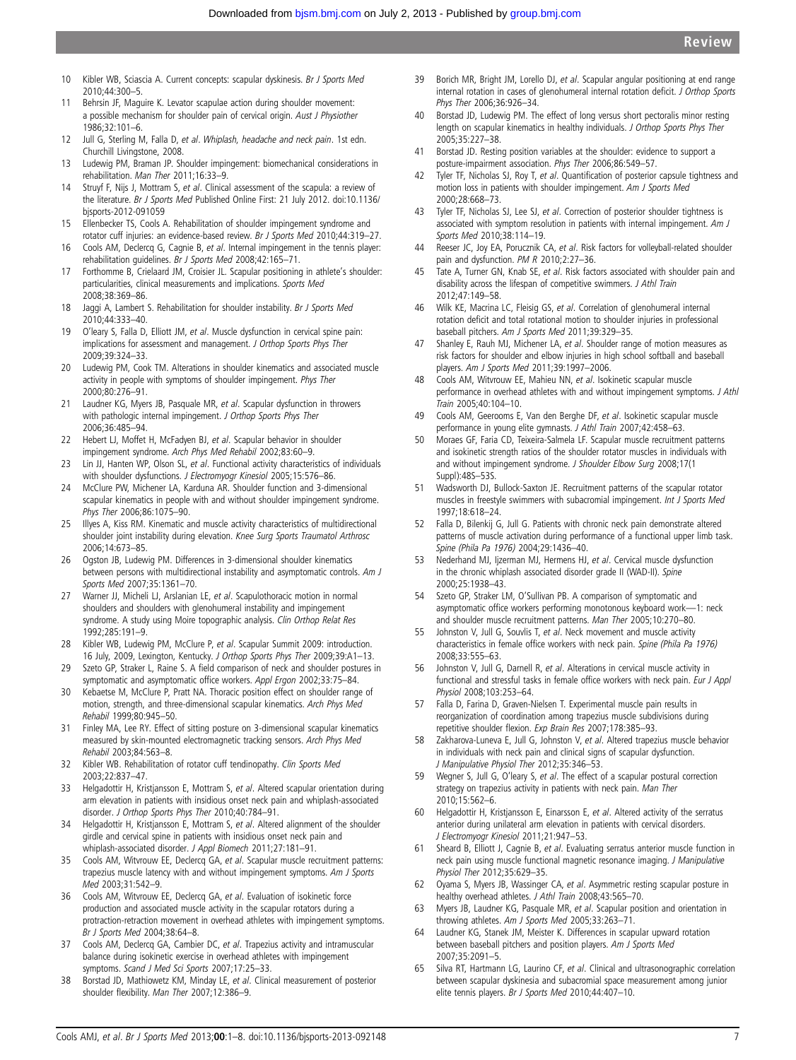- 10 Kibler WB, Sciascia A. Current concepts: scapular dyskinesis. Br J Sports Med 2010;44:300–5.
- 11 Behrsin JF, Maguire K. Levator scapulae action during shoulder movement: a possible mechanism for shoulder pain of cervical origin. Aust J Physiother 1986;32:101–6.
- 12 Jull G, Sterling M, Falla D, et al. Whiplash, headache and neck pain. 1st edn. Churchill Livingstone, 2008.
- 13 Ludewig PM, Braman JP. Shoulder impingement: biomechanical considerations in rehabilitation. Man Ther 2011;16:33–9.
- 14 Struyf F, Nijs J, Mottram S, et al. Clinical assessment of the scapula: a review of the literature. Br J Sports Med Published Online First: 21 July 2012. doi:10.1136/ bjsports-2012-091059
- 15 Ellenbecker TS, Cools A. Rehabilitation of shoulder impingement syndrome and rotator cuff injuries: an evidence-based review. Br J Sports Med 2010;44:319–27.
- 16 Cools AM, Declercq G, Cagnie B, et al. Internal impingement in the tennis player: rehabilitation guidelines. Br J Sports Med 2008;42:165–71.
- 17 Forthomme B, Crielaard JM, Croisier JL. Scapular positioning in athlete's shoulder: particularities, clinical measurements and implications. Sports Med 2008;38:369–86.
- 18 Jaggi A, Lambert S. Rehabilitation for shoulder instability. Br J Sports Med 2010;44:333–40.
- O'leary S, Falla D, Elliott JM, et al. Muscle dysfunction in cervical spine pain: implications for assessment and management. J Orthop Sports Phys Ther 2009;39:324–33.
- 20 Ludewig PM, Cook TM. Alterations in shoulder kinematics and associated muscle activity in people with symptoms of shoulder impingement. Phys Ther 2000;80:276–91.
- 21 Laudner KG, Myers JB, Pasquale MR, et al. Scapular dysfunction in throwers with pathologic internal impingement. J Orthop Sports Phys Ther 2006;36:485–94.
- 22 Hebert LJ, Moffet H, McFadyen BJ, et al. Scapular behavior in shoulder impingement syndrome. Arch Phys Med Rehabil 2002;83:60–9.
- 23 Lin JJ, Hanten WP, Olson SL, et al. Functional activity characteristics of individuals with shoulder dysfunctions. J Electromyogr Kinesiol 2005;15:576-86.
- 24 McClure PW, Michener LA, Karduna AR. Shoulder function and 3-dimensional scapular kinematics in people with and without shoulder impingement syndrome. Phys Ther 2006;86:1075–90.
- 25 Illyes A, Kiss RM. Kinematic and muscle activity characteristics of multidirectional shoulder joint instability during elevation. Knee Surg Sports Traumatol Arthrosc 2006;14:673–85.
- 26 Ogston JB, Ludewig PM. Differences in 3-dimensional shoulder kinematics between persons with multidirectional instability and asymptomatic controls. Am J Sports Med 2007;35:1361–70.
- 27 Warner JJ, Micheli LJ, Arslanian LE, et al. Scapulothoracic motion in normal shoulders and shoulders with glenohumeral instability and impingement syndrome. A study using Moire topographic analysis. Clin Orthop Relat Res 1992;285:191–9.
- 28 Kibler WB, Ludewig PM, McClure P, et al. Scapular Summit 2009: introduction. 16 July, 2009, Lexington, Kentucky. J Orthop Sports Phys Ther 2009;39:A1–13.
- 29 Szeto GP, Straker L, Raine S. A field comparison of neck and shoulder postures in symptomatic and asymptomatic office workers. Appl Ergon 2002;33:75–84.
- 30 Kebaetse M, McClure P, Pratt NA. Thoracic position effect on shoulder range of motion, strength, and three-dimensional scapular kinematics. Arch Phys Med Rehabil 1999;80:945–50.
- 31 Finley MA, Lee RY. Effect of sitting posture on 3-dimensional scapular kinematics measured by skin-mounted electromagnetic tracking sensors. Arch Phys Med Rehabil 2003;84:563–8.
- 32 Kibler WB. Rehabilitation of rotator cuff tendinopathy. Clin Sports Med 2003;22:837–47.
- 33 Helgadottir H, Kristjansson E, Mottram S, et al. Altered scapular orientation during arm elevation in patients with insidious onset neck pain and whiplash-associated disorder. J Orthop Sports Phys Ther 2010;40:784–91.
- 34 Helgadottir H, Kristjansson E, Mottram S, et al. Altered alignment of the shoulder girdle and cervical spine in patients with insidious onset neck pain and whiplash-associated disorder. J Appl Biomech 2011;27:181–91.
- 35 Cools AM, Witvrouw EE, Declercq GA, et al. Scapular muscle recruitment patterns: trapezius muscle latency with and without impingement symptoms. Am J Sports Med 2003:31:542-9.
- 36 Cools AM, Witvrouw EE, Declercq GA, et al. Evaluation of isokinetic force production and associated muscle activity in the scapular rotators during a protraction-retraction movement in overhead athletes with impingement symptoms. Br J Sports Med 2004;38:64–8.
- 37 Cools AM, Declercq GA, Cambier DC, et al. Trapezius activity and intramuscular balance during isokinetic exercise in overhead athletes with impingement symptoms. Scand J Med Sci Sports 2007;17:25–33.
- 38 Borstad JD, Mathiowetz KM, Minday LE, et al. Clinical measurement of posterior shoulder flexibility. Man Ther 2007;12:386–9.
- 39 Borich MR, Bright JM, Lorello DJ, et al. Scapular angular positioning at end range internal rotation in cases of glenohumeral internal rotation deficit. J Orthop Sports Phys Ther 2006;36:926–34.
- 40 Borstad JD, Ludewig PM. The effect of long versus short pectoralis minor resting length on scapular kinematics in healthy individuals. J Orthop Sports Phys Ther 2005;35:227–38.
- 41 Borstad JD. Resting position variables at the shoulder: evidence to support a posture-impairment association. Phys Ther 2006;86:549–57.
- 42 Tyler TF, Nicholas SJ, Roy T, et al. Quantification of posterior capsule tightness and motion loss in patients with shoulder impingement. Am J Sports Med 2000;28:668–73.
- 43 Tyler TF, Nicholas SJ, Lee SJ, et al. Correction of posterior shoulder tightness is associated with symptom resolution in patients with internal impingement. Am J Sports Med 2010;38:114–19.
- 44 Reeser JC, Joy EA, Porucznik CA, et al. Risk factors for volleyball-related shoulder pain and dysfunction. PM R 2010;2:27–36.
- 45 Tate A, Turner GN, Knab SE, et al. Risk factors associated with shoulder pain and disability across the lifespan of competitive swimmers. J Athl Train 2012;47:149–58.
- 46 Wilk KE, Macrina LC, Fleisig GS, et al. Correlation of glenohumeral internal rotation deficit and total rotational motion to shoulder injuries in professional baseball pitchers. Am J Sports Med 2011;39:329–35.
- 47 Shanley E, Rauh MJ, Michener LA, et al. Shoulder range of motion measures as risk factors for shoulder and elbow injuries in high school softball and baseball players. Am J Sports Med 2011;39:1997–2006.
- 48 Cools AM, Witvrouw EE, Mahieu NN, et al. Isokinetic scapular muscle performance in overhead athletes with and without impingement symptoms. J Athl Train 2005;40:104–10.
- 49 Cools AM, Geerooms E, Van den Berghe DF, et al. Isokinetic scapular muscle performance in young elite gymnasts. J Athl Train 2007;42:458–63.
- 50 Moraes GF, Faria CD, Teixeira-Salmela LF. Scapular muscle recruitment patterns and isokinetic strength ratios of the shoulder rotator muscles in individuals with and without impingement syndrome. J Shoulder Elbow Surg 2008;17(1 Suppl):48S–53S.
- 51 Wadsworth DJ, Bullock-Saxton JE. Recruitment patterns of the scapular rotator muscles in freestyle swimmers with subacromial impingement. Int J Sports Med 1997;18:618–24.
- 52 Falla D, Bilenkij G, Jull G. Patients with chronic neck pain demonstrate altered patterns of muscle activation during performance of a functional upper limb task. Spine (Phila Pa 1976) 2004;29:1436–40.
- 53 Nederhand MJ, Ijzerman MJ, Hermens HJ, et al. Cervical muscle dysfunction in the chronic whiplash associated disorder grade II (WAD-II). Spine 2000;25:1938–43.
- 54 Szeto GP, Straker LM, O'Sullivan PB. A comparison of symptomatic and asymptomatic office workers performing monotonous keyboard work—1: neck and shoulder muscle recruitment patterns. Man Ther 2005;10:270–80.
- Johnston V, Jull G, Souvlis T, et al. Neck movement and muscle activity characteristics in female office workers with neck pain. Spine (Phila Pa 1976) 2008;33:555–63.
- 56 Johnston V, Jull G, Darnell R, et al. Alterations in cervical muscle activity in functional and stressful tasks in female office workers with neck pain. Eur J Appl Physiol 2008;103:253–64.
- 57 Falla D, Farina D, Graven-Nielsen T. Experimental muscle pain results in reorganization of coordination among trapezius muscle subdivisions during repetitive shoulder flexion. Exp Brain Res 2007;178:385–93.
- 58 Zakharova-Luneva E, Jull G, Johnston V, et al. Altered trapezius muscle behavior in individuals with neck pain and clinical signs of scapular dysfunction. J Manipulative Physiol Ther 2012;35:346–53.
- 59 Wegner S, Jull G, O'leary S, et al. The effect of a scapular postural correction strategy on trapezius activity in patients with neck pain. Man Ther 2010;15:562–6.
- Helgadottir H, Kristjansson E, Einarsson E, et al. Altered activity of the serratus anterior during unilateral arm elevation in patients with cervical disorders. J Electromyogr Kinesiol 2011;21:947–53.
- 61 Sheard B, Elliott J, Cagnie B, et al. Evaluating serratus anterior muscle function in neck pain using muscle functional magnetic resonance imaging. J Manipulative Physiol Ther 2012;35:629–35.
- 62 Oyama S, Myers JB, Wassinger CA, et al. Asymmetric resting scapular posture in healthy overhead athletes. J Athl Train 2008;43:565-70.
- 63 Myers JB, Laudner KG, Pasquale MR, et al. Scapular position and orientation in throwing athletes. Am J Sports Med 2005;33:263–71.
- Laudner KG, Stanek JM, Meister K. Differences in scapular upward rotation between baseball pitchers and position players. Am J Sports Med 2007;35:2091–5.
- 65 Silva RT, Hartmann LG, Laurino CF, et al. Clinical and ultrasonographic correlation between scapular dyskinesia and subacromial space measurement among junior elite tennis players. Br J Sports Med 2010;44:407–10.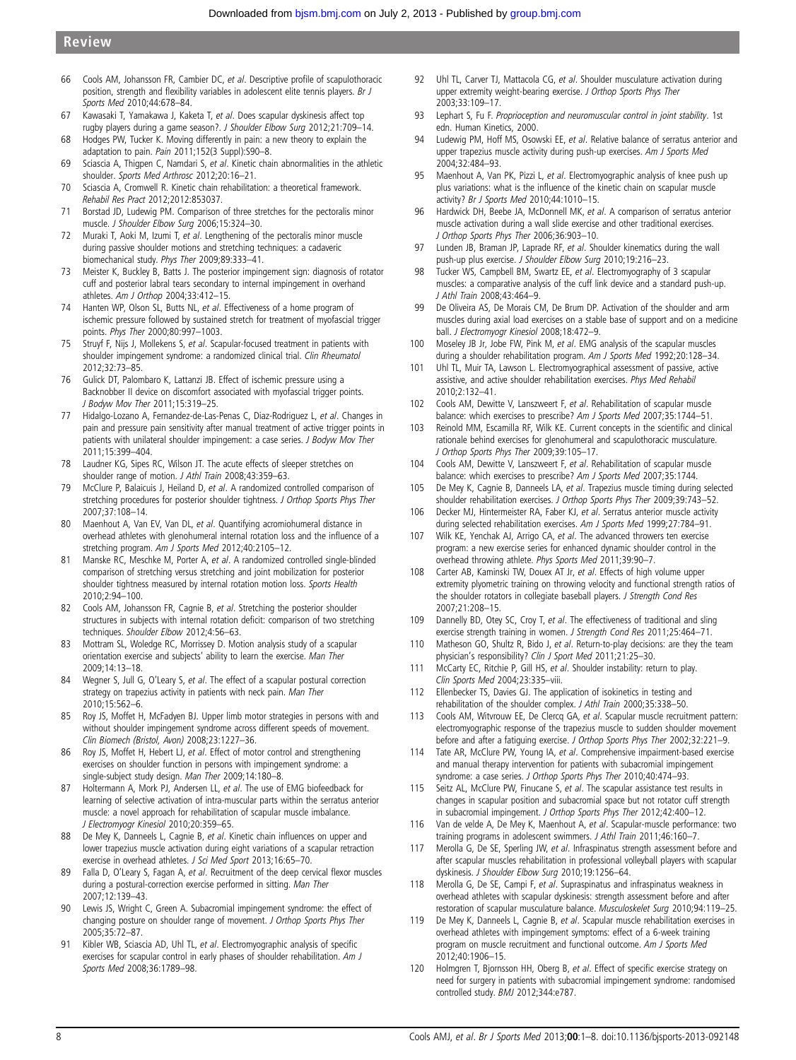- 66 Cools AM, Johansson FR, Cambier DC, et al. Descriptive profile of scapulothoracic position, strength and flexibility variables in adolescent elite tennis players. Br J Sports Med 2010;44:678–84.
- 67 Kawasaki T, Yamakawa J, Kaketa T, et al. Does scapular dyskinesis affect top rugby players during a game season?. J Shoulder Elbow Surg 2012;21:709–14.
- 68 Hodges PW, Tucker K. Moving differently in pain: a new theory to explain the adaptation to pain. Pain 2011;152(3 Suppl):S90–8.
- 69 Sciascia A, Thigpen C, Namdari S, et al. Kinetic chain abnormalities in the athletic shoulder. Sports Med Arthrosc 2012;20:16–21.
- 70 Sciascia A, Cromwell R. Kinetic chain rehabilitation: a theoretical framework. Rehabil Res Pract 2012;2012:853037.
- 71 Borstad JD, Ludewig PM. Comparison of three stretches for the pectoralis minor muscle. J Shoulder Elbow Surg 2006;15:324–30.
- 72 Muraki T, Aoki M, Izumi T, et al. Lengthening of the pectoralis minor muscle during passive shoulder motions and stretching techniques: a cadaveric biomechanical study. Phys Ther 2009;89:333–41.
- 73 Meister K, Buckley B, Batts J. The posterior impingement sign: diagnosis of rotator cuff and posterior labral tears secondary to internal impingement in overhand athletes. Am J Orthop 2004;33:412–15.
- 74 Hanten WP, Olson SL, Butts NL, et al. Effectiveness of a home program of ischemic pressure followed by sustained stretch for treatment of myofascial trigger points. Phys Ther 2000;80:997–1003.
- 75 Struyf F, Nijs J, Mollekens S, et al. Scapular-focused treatment in patients with shoulder impingement syndrome: a randomized clinical trial. Clin Rheumatol 2012;32:73–85.
- 76 Gulick DT, Palombaro K, Lattanzi JB. Effect of ischemic pressure using a Backnobber II device on discomfort associated with myofascial trigger points. J Bodyw Mov Ther 2011;15:319–25.
- 77 Hidalgo-Lozano A, Fernandez-de-Las-Penas C, Diaz-Rodriguez L, et al. Changes in pain and pressure pain sensitivity after manual treatment of active trigger points in patients with unilateral shoulder impingement: a case series. J Bodyw Mov Ther 2011;15:399–404.
- 78 Laudner KG, Sipes RC, Wilson JT. The acute effects of sleeper stretches on shoulder range of motion. J Athl Train 2008;43:359–63.
- 79 McClure P, Balaicuis J, Heiland D, et al. A randomized controlled comparison of stretching procedures for posterior shoulder tightness. J Orthop Sports Phys Ther 2007;37:108–14.
- 80 Maenhout A, Van EV, Van DL, et al. Quantifying acromiohumeral distance in overhead athletes with glenohumeral internal rotation loss and the influence of a stretching program. Am J Sports Med 2012;40:2105–12.
- 81 Manske RC, Meschke M, Porter A, et al. A randomized controlled single-blinded comparison of stretching versus stretching and joint mobilization for posterior shoulder tightness measured by internal rotation motion loss. Sports Health 2010;2:94–100.
- 82 Cools AM, Johansson FR, Cagnie B, et al. Stretching the posterior shoulder structures in subjects with internal rotation deficit: comparison of two stretching techniques. Shoulder Elbow 2012;4:56–63.
- 83 Mottram SL, Woledge RC, Morrissey D. Motion analysis study of a scapular orientation exercise and subjects' ability to learn the exercise. Man Ther 2009;14:13–18.
- 84 Wegner S, Jull G, O'Leary S, et al. The effect of a scapular postural correction strategy on trapezius activity in patients with neck pain. Man Ther 2010;15:562–6.
- 85 Roy JS, Moffet H, McFadyen BJ. Upper limb motor strategies in persons with and without shoulder impingement syndrome across different speeds of movement. Clin Biomech (Bristol, Avon) 2008;23:1227–36.
- 86 Roy JS, Moffet H, Hebert LJ, et al. Effect of motor control and strengthening exercises on shoulder function in persons with impingement syndrome: a single-subject study design. Man Ther 2009;14:180–8.
- 87 Holtermann A, Mork PJ, Andersen LL, et al. The use of EMG biofeedback for learning of selective activation of intra-muscular parts within the serratus anterior muscle: a novel approach for rehabilitation of scapular muscle imbalance. J Electromyogr Kinesiol 2010;20:359–65.
- 88 De Mey K, Danneels L, Cagnie B, et al. Kinetic chain influences on upper and lower trapezius muscle activation during eight variations of a scapular retraction exercise in overhead athletes. J Sci Med Sport 2013;16:65-70.
- 89 Falla D, O'Leary S, Fagan A, et al. Recruitment of the deep cervical flexor muscles during a postural-correction exercise performed in sitting. Man Ther 2007;12:139–43.
- Lewis JS, Wright C, Green A. Subacromial impingement syndrome: the effect of changing posture on shoulder range of movement. J Orthop Sports Phys Ther 2005;35:72–87.
- 91 Kibler WB, Sciascia AD, Uhl TL, et al. Electromyographic analysis of specific exercises for scapular control in early phases of shoulder rehabilitation. Am J Sports Med 2008;36:1789–98.
- 92 Uhl TL, Carver TJ, Mattacola CG, et al. Shoulder musculature activation during upper extremity weight-bearing exercise. J Orthop Sports Phys Ther 2003;33:109–17.
- 93 Lephart S, Fu F. Proprioception and neuromuscular control in joint stability. 1st edn. Human Kinetics, 2000.
- 94 Ludewig PM, Hoff MS, Osowski EE, et al. Relative balance of serratus anterior and upper trapezius muscle activity during push-up exercises. Am J Sports Med 2004;32:484–93.
- 95 Maenhout A, Van PK, Pizzi L, et al. Electromyographic analysis of knee push up plus variations: what is the influence of the kinetic chain on scapular muscle activity? Br J Sports Med 2010;44:1010–15.
- 96 Hardwick DH, Beebe JA, McDonnell MK, et al. A comparison of serratus anterior muscle activation during a wall slide exercise and other traditional exercises. J Orthop Sports Phys Ther 2006;36:903–10.
- 97 Lunden JB, Braman JP, Laprade RF, et al. Shoulder kinematics during the wall push-up plus exercise. J Shoulder Elbow Surg 2010;19:216–23.
- 98 Tucker WS, Campbell BM, Swartz EE, et al. Electromyography of 3 scapular muscles: a comparative analysis of the cuff link device and a standard push-up. J Athl Train 2008;43:464–9.
- 99 De Oliveira AS, De Morais CM, De Brum DP. Activation of the shoulder and arm muscles during axial load exercises on a stable base of support and on a medicine ball. J Electromyogr Kinesiol 2008;18:472-9.
- 100 Moseley JB Jr, Jobe FW, Pink M, et al. EMG analysis of the scapular muscles during a shoulder rehabilitation program. Am J Sports Med 1992;20:128-34.
- 101 Uhl TL, Muir TA, Lawson L. Electromyographical assessment of passive, active assistive, and active shoulder rehabilitation exercises. Phys Med Rehabil 2010;2:132–41.
- 102 Cools AM, Dewitte V, Lanszweert F, et al. Rehabilitation of scapular muscle balance: which exercises to prescribe? Am J Sports Med 2007;35:1744-51.
- 103 Reinold MM, Escamilla RF, Wilk KE. Current concepts in the scientific and clinical rationale behind exercises for glenohumeral and scapulothoracic musculature. J Orthop Sports Phys Ther 2009;39:105–17.
- 104 Cools AM, Dewitte V, Lanszweert F, et al. Rehabilitation of scapular muscle balance: which exercises to prescribe? Am J Sports Med 2007;35:1744.
- 105 De Mey K, Cagnie B, Danneels LA, et al. Trapezius muscle timing during selected shoulder rehabilitation exercises. J Orthop Sports Phys Ther 2009;39:743-52.
- 106 Decker MJ, Hintermeister RA, Faber KJ, et al. Serratus anterior muscle activity during selected rehabilitation exercises. Am J Sports Med 1999;27:784-91.
- 107 Wilk KE, Yenchak AJ, Arrigo CA, et al. The advanced throwers ten exercise program: a new exercise series for enhanced dynamic shoulder control in the overhead throwing athlete. Phys Sports Med 2011;39:90–7.
- Carter AB, Kaminski TW, Douex AT Jr, et al. Effects of high volume upper extremity plyometric training on throwing velocity and functional strength ratios of the shoulder rotators in collegiate baseball players. J Strength Cond Res 2007;21:208–15.
- 109 Dannelly BD, Otey SC, Croy T, et al. The effectiveness of traditional and sling exercise strength training in women. J Strength Cond Res 2011;25:464–71.
- 110 Matheson GO, Shultz R, Bido J, et al. Return-to-play decisions: are they the team physician's responsibility? Clin J Sport Med 2011;21:25–30.
- 111 McCarty EC, Ritchie P, Gill HS, et al. Shoulder instability: return to play. Clin Sports Med 2004;23:335–viii.
- 112 Ellenbecker TS, Davies GJ. The application of isokinetics in testing and rehabilitation of the shoulder complex. J Athl Train 2000;35:338-50.
- 113 Cools AM, Witvrouw EE, De Clercq GA, et al. Scapular muscle recruitment pattern: electromyographic response of the trapezius muscle to sudden shoulder movement before and after a fatiguing exercise. J Orthop Sports Phys Ther 2002;32:221–9.
- Tate AR, McClure PW, Young IA, et al. Comprehensive impairment-based exercise and manual therapy intervention for patients with subacromial impingement syndrome: a case series. J Orthop Sports Phys Ther 2010;40:474-93.
- 115 Seitz AL, McClure PW, Finucane S, et al. The scapular assistance test results in changes in scapular position and subacromial space but not rotator cuff strength in subacromial impingement. J Orthop Sports Phys Ther 2012;42:400–12.
- 116 Van de velde A, De Mey K, Maenhout A, et al. Scapular-muscle performance: two training programs in adolescent swimmers. J Athl Train 2011;46:160–7.
- 117 Merolla G, De SE, Sperling JW, et al. Infraspinatus strength assessment before and after scapular muscles rehabilitation in professional volleyball players with scapular dyskinesis. J Shoulder Elbow Surg 2010;19:1256–64.
- 118 Merolla G, De SE, Campi F, et al. Supraspinatus and infraspinatus weakness in overhead athletes with scapular dyskinesis: strength assessment before and after restoration of scapular musculature balance. Musculoskelet Surg 2010;94:119–25.
- 119 De Mey K, Danneels L, Cagnie B, et al. Scapular muscle rehabilitation exercises in overhead athletes with impingement symptoms: effect of a 6-week training program on muscle recruitment and functional outcome. Am J Sports Med 2012;40:1906–15.
- 120 Holmgren T, Bjornsson HH, Oberg B, et al. Effect of specific exercise strategy on need for surgery in patients with subacromial impingement syndrome: randomised controlled study. BMJ 2012;344:e787.